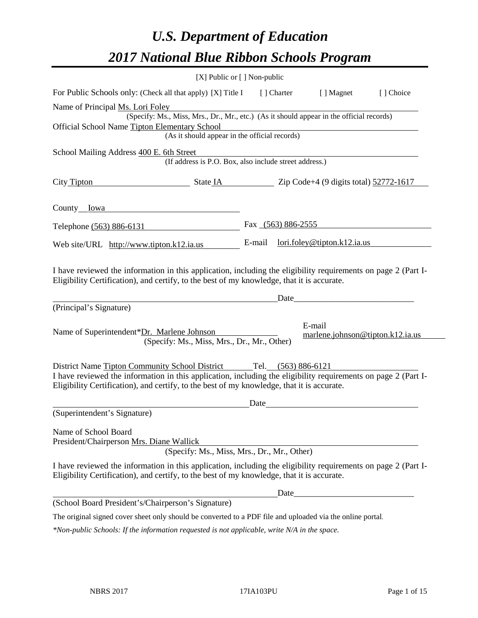# *U.S. Department of Education 2017 National Blue Ribbon Schools Program*

|                                  | $[X]$ Public or $[ ]$ Non-public                                                                                                                                                                             |        |                      |                                            |           |
|----------------------------------|--------------------------------------------------------------------------------------------------------------------------------------------------------------------------------------------------------------|--------|----------------------|--------------------------------------------|-----------|
|                                  | For Public Schools only: (Check all that apply) [X] Title I                                                                                                                                                  |        | [] Charter           | [ ] Magnet                                 | [] Choice |
| Name of Principal Ms. Lori Foley |                                                                                                                                                                                                              |        |                      |                                            |           |
|                                  | (Specify: Ms., Miss, Mrs., Dr., Mr., etc.) (As it should appear in the official records)                                                                                                                     |        |                      |                                            |           |
|                                  | Official School Name Tipton Elementary School                                                                                                                                                                |        |                      |                                            |           |
|                                  | (As it should appear in the official records)                                                                                                                                                                |        |                      |                                            |           |
|                                  | School Mailing Address 400 E. 6th Street                                                                                                                                                                     |        |                      |                                            |           |
|                                  | (If address is P.O. Box, also include street address.)                                                                                                                                                       |        |                      |                                            |           |
| City Tipton                      | $\frac{1}{2}$ State IA $\frac{1}{2}$ Zip Code+4 (9 digits total) $\frac{52772 \cdot 1617}{2}$                                                                                                                |        |                      |                                            |           |
| County Iowa                      |                                                                                                                                                                                                              |        |                      |                                            |           |
| Telephone (563) 886-6131         |                                                                                                                                                                                                              |        | Fax $(563) 886-2555$ |                                            |           |
|                                  | Web site/URL http://www.tipton.k12.ia.us                                                                                                                                                                     | E-mail |                      | lori.foley@tipton.k12.ia.us                |           |
| (Principal's Signature)          | I have reviewed the information in this application, including the eligibility requirements on page 2 (Part I-<br>Eligibility Certification), and certify, to the best of my knowledge, that it is accurate. |        | Date                 |                                            |           |
|                                  | Name of Superintendent*Dr. Marlene Johnson<br>(Specify: Ms., Miss, Mrs., Dr., Mr., Other)                                                                                                                    |        |                      | E-mail<br>marlene.johnson@tipton.k12.ia.us |           |
|                                  | District Name Tipton Community School District Tel. (563) 886-6121                                                                                                                                           |        |                      |                                            |           |
|                                  | I have reviewed the information in this application, including the eligibility requirements on page 2 (Part I-<br>Eligibility Certification), and certify, to the best of my knowledge, that it is accurate. |        |                      |                                            |           |
|                                  |                                                                                                                                                                                                              | Date   |                      |                                            |           |
| (Superintendent's Signature)     |                                                                                                                                                                                                              |        |                      |                                            |           |
| Name of School Board             | President/Chairperson Mrs. Diane Wallick<br>(Specify: Ms., Miss, Mrs., Dr., Mr., Other)                                                                                                                      |        |                      |                                            |           |
|                                  | I have reviewed the information in this application, including the eligibility requirements on page 2 (Part I-<br>Eligibility Certification), and certify, to the best of my knowledge, that it is accurate. |        |                      |                                            |           |
|                                  |                                                                                                                                                                                                              |        |                      |                                            |           |
|                                  | (School Board President's/Chairperson's Signature)                                                                                                                                                           |        |                      |                                            |           |
|                                  | The original signed cover sheet only should be converted to a PDF file and uploaded via the online portal.                                                                                                   |        |                      |                                            |           |

*\*Non-public Schools: If the information requested is not applicable, write N/A in the space.*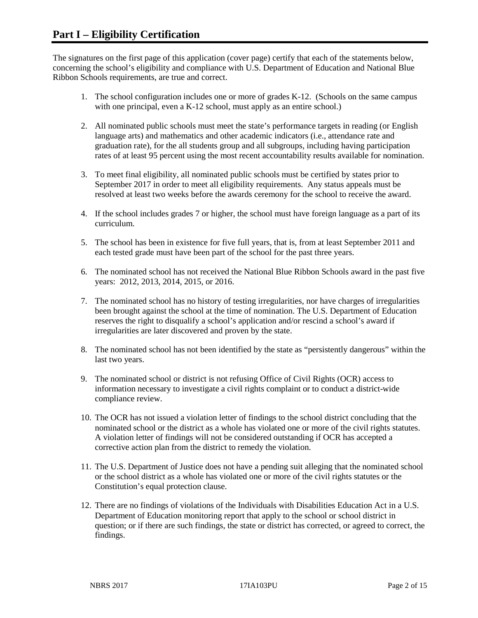The signatures on the first page of this application (cover page) certify that each of the statements below, concerning the school's eligibility and compliance with U.S. Department of Education and National Blue Ribbon Schools requirements, are true and correct.

- 1. The school configuration includes one or more of grades K-12. (Schools on the same campus with one principal, even a K-12 school, must apply as an entire school.)
- 2. All nominated public schools must meet the state's performance targets in reading (or English language arts) and mathematics and other academic indicators (i.e., attendance rate and graduation rate), for the all students group and all subgroups, including having participation rates of at least 95 percent using the most recent accountability results available for nomination.
- 3. To meet final eligibility, all nominated public schools must be certified by states prior to September 2017 in order to meet all eligibility requirements. Any status appeals must be resolved at least two weeks before the awards ceremony for the school to receive the award.
- 4. If the school includes grades 7 or higher, the school must have foreign language as a part of its curriculum.
- 5. The school has been in existence for five full years, that is, from at least September 2011 and each tested grade must have been part of the school for the past three years.
- 6. The nominated school has not received the National Blue Ribbon Schools award in the past five years: 2012, 2013, 2014, 2015, or 2016.
- 7. The nominated school has no history of testing irregularities, nor have charges of irregularities been brought against the school at the time of nomination. The U.S. Department of Education reserves the right to disqualify a school's application and/or rescind a school's award if irregularities are later discovered and proven by the state.
- 8. The nominated school has not been identified by the state as "persistently dangerous" within the last two years.
- 9. The nominated school or district is not refusing Office of Civil Rights (OCR) access to information necessary to investigate a civil rights complaint or to conduct a district-wide compliance review.
- 10. The OCR has not issued a violation letter of findings to the school district concluding that the nominated school or the district as a whole has violated one or more of the civil rights statutes. A violation letter of findings will not be considered outstanding if OCR has accepted a corrective action plan from the district to remedy the violation.
- 11. The U.S. Department of Justice does not have a pending suit alleging that the nominated school or the school district as a whole has violated one or more of the civil rights statutes or the Constitution's equal protection clause.
- 12. There are no findings of violations of the Individuals with Disabilities Education Act in a U.S. Department of Education monitoring report that apply to the school or school district in question; or if there are such findings, the state or district has corrected, or agreed to correct, the findings.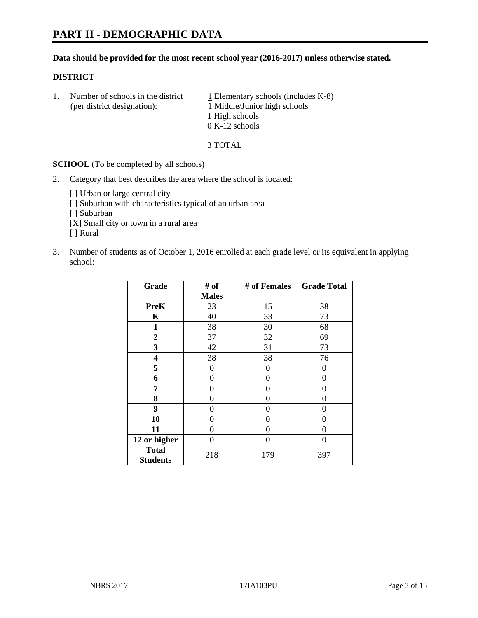#### **Data should be provided for the most recent school year (2016-2017) unless otherwise stated.**

#### **DISTRICT**

1. Number of schools in the district  $1$  Elementary schools (includes K-8) (per district designation): 1 Middle/Junior high schools 1 High schools 0 K-12 schools

3 TOTAL

**SCHOOL** (To be completed by all schools)

- 2. Category that best describes the area where the school is located:
	- [] Urban or large central city [ ] Suburban with characteristics typical of an urban area [ ] Suburban [X] Small city or town in a rural area [ ] Rural
- 3. Number of students as of October 1, 2016 enrolled at each grade level or its equivalent in applying school:

| Grade                           | # of         | # of Females | <b>Grade Total</b> |
|---------------------------------|--------------|--------------|--------------------|
|                                 | <b>Males</b> |              |                    |
| <b>PreK</b>                     | 23           | 15           | 38                 |
| K                               | 40           | 33           | 73                 |
| $\mathbf{1}$                    | 38           | 30           | 68                 |
| $\overline{2}$                  | 37           | 32           | 69                 |
| 3                               | 42           | 31           | 73                 |
| 4                               | 38           | 38           | 76                 |
| 5                               | 0            | 0            | $\theta$           |
| 6                               | $\theta$     | 0            | 0                  |
| 7                               | 0            | 0            | 0                  |
| 8                               | $\theta$     | 0            | 0                  |
| 9                               | 0            | 0            | 0                  |
| 10                              | $\theta$     | 0            | 0                  |
| 11                              | 0            | 0            | 0                  |
| 12 or higher                    | 0            | 0            | 0                  |
| <b>Total</b><br><b>Students</b> | 218          | 179          | 397                |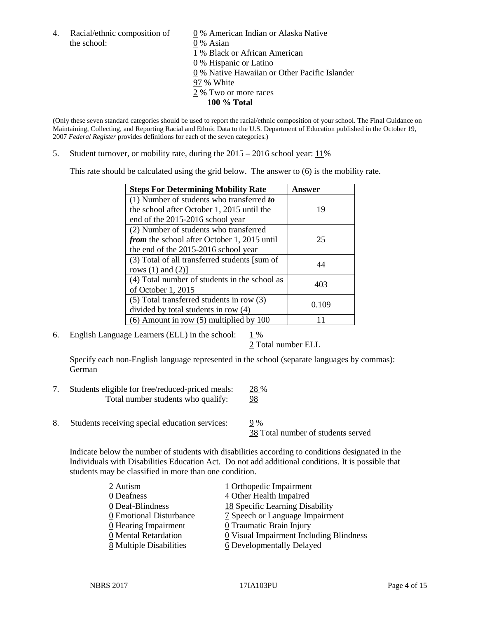4. Racial/ethnic composition of  $\qquad \qquad \underline{0}$  % American Indian or Alaska Native the school: 0 % Asian

 % Black or African American % Hispanic or Latino % Native Hawaiian or Other Pacific Islander 97 % White % Two or more races **100 % Total**

(Only these seven standard categories should be used to report the racial/ethnic composition of your school. The Final Guidance on Maintaining, Collecting, and Reporting Racial and Ethnic Data to the U.S. Department of Education published in the October 19, 2007 *Federal Register* provides definitions for each of the seven categories.)

5. Student turnover, or mobility rate, during the 2015 – 2016 school year: 11%

This rate should be calculated using the grid below. The answer to (6) is the mobility rate.

| <b>Steps For Determining Mobility Rate</b>         | Answer |  |
|----------------------------------------------------|--------|--|
| (1) Number of students who transferred to          |        |  |
| the school after October 1, 2015 until the         | 19     |  |
| end of the 2015-2016 school year                   |        |  |
| (2) Number of students who transferred             |        |  |
| <i>from</i> the school after October 1, 2015 until | 25     |  |
| the end of the 2015-2016 school year               |        |  |
| (3) Total of all transferred students [sum of      | 44     |  |
| rows $(1)$ and $(2)$ ]                             |        |  |
| (4) Total number of students in the school as      | 403    |  |
| of October 1, 2015                                 |        |  |
| (5) Total transferred students in row (3)          |        |  |
| divided by total students in row (4)               | 0.109  |  |
| $(6)$ Amount in row $(5)$ multiplied by 100        |        |  |

6. English Language Learners (ELL) in the school:  $1\%$ 

2 Total number ELL

Specify each non-English language represented in the school (separate languages by commas): **German** 

- 7. Students eligible for free/reduced-priced meals: 28 % Total number students who qualify: 98
- 8. Students receiving special education services: 9 %

38 Total number of students served

Indicate below the number of students with disabilities according to conditions designated in the Individuals with Disabilities Education Act. Do not add additional conditions. It is possible that students may be classified in more than one condition.

| 2 Autism                | 1 Orthopedic Impairment                               |
|-------------------------|-------------------------------------------------------|
| 0 Deafness              | 4 Other Health Impaired                               |
| 0 Deaf-Blindness        | 18 Specific Learning Disability                       |
| 0 Emotional Disturbance | 7 Speech or Language Impairment                       |
| 0 Hearing Impairment    | 0 Traumatic Brain Injury                              |
| 0 Mental Retardation    | $\underline{0}$ Visual Impairment Including Blindness |
| 8 Multiple Disabilities | <b>6</b> Developmentally Delayed                      |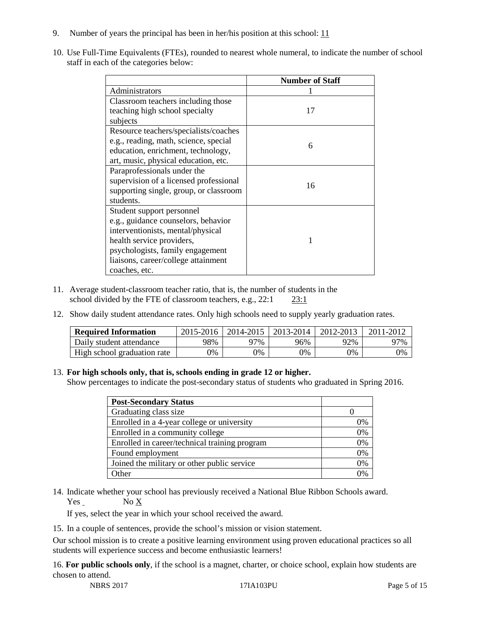- 9. Number of years the principal has been in her/his position at this school:  $11$
- 10. Use Full-Time Equivalents (FTEs), rounded to nearest whole numeral, to indicate the number of school staff in each of the categories below:

|                                            | <b>Number of Staff</b> |  |  |
|--------------------------------------------|------------------------|--|--|
| Administrators                             |                        |  |  |
| Classroom teachers including those         |                        |  |  |
| teaching high school specialty<br>subjects | 17                     |  |  |
| Resource teachers/specialists/coaches      |                        |  |  |
|                                            |                        |  |  |
| e.g., reading, math, science, special      | 6                      |  |  |
| education, enrichment, technology,         |                        |  |  |
| art, music, physical education, etc.       |                        |  |  |
| Paraprofessionals under the                |                        |  |  |
| supervision of a licensed professional     | 16                     |  |  |
| supporting single, group, or classroom     |                        |  |  |
| students.                                  |                        |  |  |
| Student support personnel                  |                        |  |  |
| e.g., guidance counselors, behavior        |                        |  |  |
| interventionists, mental/physical          |                        |  |  |
| health service providers,                  |                        |  |  |
| psychologists, family engagement           |                        |  |  |
| liaisons, career/college attainment        |                        |  |  |
| coaches, etc.                              |                        |  |  |

- 11. Average student-classroom teacher ratio, that is, the number of students in the school divided by the FTE of classroom teachers, e.g., 22:1 23:1
- 12. Show daily student attendance rates. Only high schools need to supply yearly graduation rates.

| <b>Required Information</b> | 2015-2016 | 2014-2015 | 2013-2014 | 2012-2013 |     |
|-----------------------------|-----------|-----------|-----------|-----------|-----|
| Daily student attendance    | 98%       | 97%       | 96%       | 92%       | 97% |
| High school graduation rate | 0%        | 0%        | 0%        | 9%        | 0%  |

#### 13. **For high schools only, that is, schools ending in grade 12 or higher.**

Show percentages to indicate the post-secondary status of students who graduated in Spring 2016.

| <b>Post-Secondary Status</b>                  |    |
|-----------------------------------------------|----|
| Graduating class size                         |    |
| Enrolled in a 4-year college or university    | 0% |
| Enrolled in a community college               | 0% |
| Enrolled in career/technical training program | 0% |
| Found employment                              | 0% |
| Joined the military or other public service   | 0% |
| )ther                                         |    |

14. Indicate whether your school has previously received a National Blue Ribbon Schools award. Yes No X

If yes, select the year in which your school received the award.

15. In a couple of sentences, provide the school's mission or vision statement.

Our school mission is to create a positive learning environment using proven educational practices so all students will experience success and become enthusiastic learners!

16. **For public schools only**, if the school is a magnet, charter, or choice school, explain how students are chosen to attend.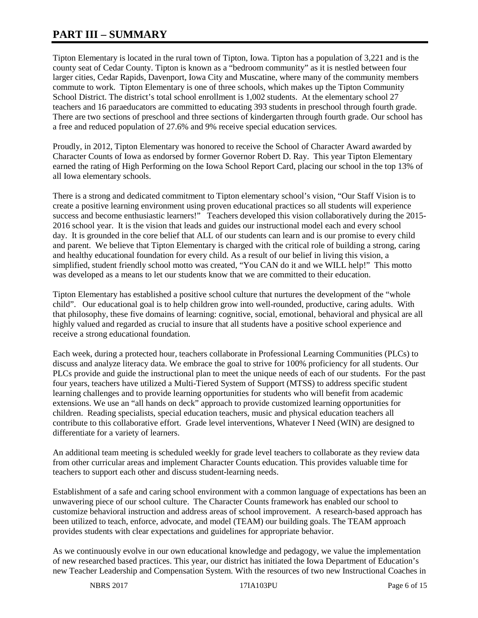# **PART III – SUMMARY**

Tipton Elementary is located in the rural town of Tipton, Iowa. Tipton has a population of 3,221 and is the county seat of Cedar County. Tipton is known as a "bedroom community" as it is nestled between four larger cities, Cedar Rapids, Davenport, Iowa City and Muscatine, where many of the community members commute to work. Tipton Elementary is one of three schools, which makes up the Tipton Community School District. The district's total school enrollment is 1,002 students. At the elementary school 27 teachers and 16 paraeducators are committed to educating 393 students in preschool through fourth grade. There are two sections of preschool and three sections of kindergarten through fourth grade. Our school has a free and reduced population of 27.6% and 9% receive special education services.

Proudly, in 2012, Tipton Elementary was honored to receive the School of Character Award awarded by Character Counts of Iowa as endorsed by former Governor Robert D. Ray. This year Tipton Elementary earned the rating of High Performing on the Iowa School Report Card, placing our school in the top 13% of all Iowa elementary schools.

There is a strong and dedicated commitment to Tipton elementary school's vision, "Our Staff Vision is to create a positive learning environment using proven educational practices so all students will experience success and become enthusiastic learners!" Teachers developed this vision collaboratively during the 2015-2016 school year. It is the vision that leads and guides our instructional model each and every school day. It is grounded in the core belief that ALL of our students can learn and is our promise to every child and parent. We believe that Tipton Elementary is charged with the critical role of building a strong, caring and healthy educational foundation for every child. As a result of our belief in living this vision, a simplified, student friendly school motto was created, "You CAN do it and we WILL help!" This motto was developed as a means to let our students know that we are committed to their education.

Tipton Elementary has established a positive school culture that nurtures the development of the "whole child". Our educational goal is to help children grow into well-rounded, productive, caring adults. With that philosophy, these five domains of learning: cognitive, social, emotional, behavioral and physical are all highly valued and regarded as crucial to insure that all students have a positive school experience and receive a strong educational foundation.

Each week, during a protected hour, teachers collaborate in Professional Learning Communities (PLCs) to discuss and analyze literacy data. We embrace the goal to strive for 100% proficiency for all students. Our PLCs provide and guide the instructional plan to meet the unique needs of each of our students. For the past four years, teachers have utilized a Multi-Tiered System of Support (MTSS) to address specific student learning challenges and to provide learning opportunities for students who will benefit from academic extensions. We use an "all hands on deck" approach to provide customized learning opportunities for children. Reading specialists, special education teachers, music and physical education teachers all contribute to this collaborative effort. Grade level interventions, Whatever I Need (WIN) are designed to differentiate for a variety of learners.

An additional team meeting is scheduled weekly for grade level teachers to collaborate as they review data from other curricular areas and implement Character Counts education. This provides valuable time for teachers to support each other and discuss student-learning needs.

Establishment of a safe and caring school environment with a common language of expectations has been an unwavering piece of our school culture. The Character Counts framework has enabled our school to customize behavioral instruction and address areas of school improvement. A research-based approach has been utilized to teach, enforce, advocate, and model (TEAM) our building goals. The TEAM approach provides students with clear expectations and guidelines for appropriate behavior.

As we continuously evolve in our own educational knowledge and pedagogy, we value the implementation of new researched based practices. This year, our district has initiated the Iowa Department of Education's new Teacher Leadership and Compensation System. With the resources of two new Instructional Coaches in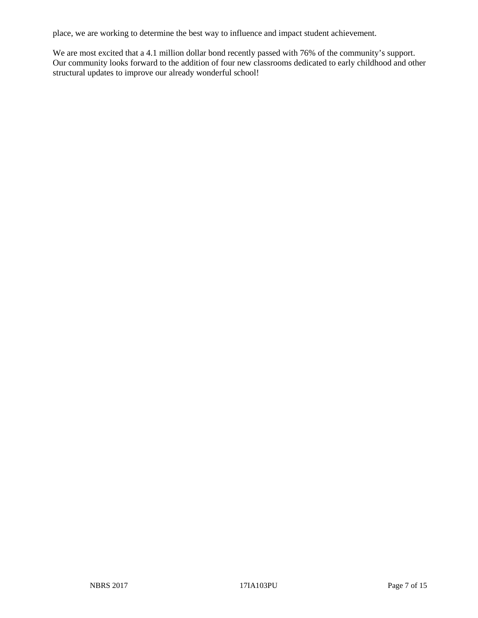place, we are working to determine the best way to influence and impact student achievement.

We are most excited that a 4.1 million dollar bond recently passed with 76% of the community's support. Our community looks forward to the addition of four new classrooms dedicated to early childhood and other structural updates to improve our already wonderful school!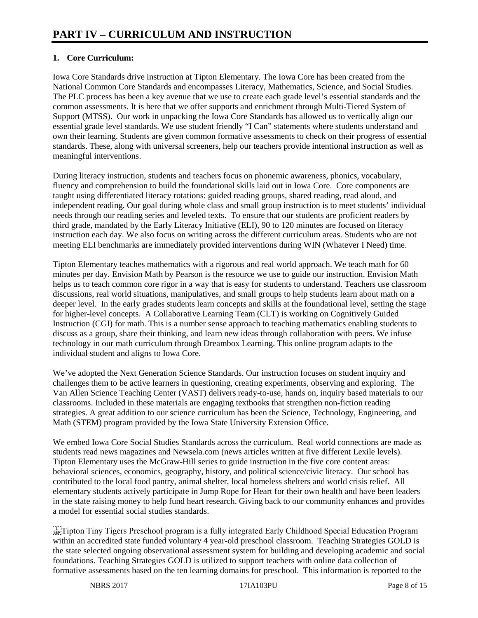# **1. Core Curriculum:**

Iowa Core Standards drive instruction at Tipton Elementary. The Iowa Core has been created from the National Common Core Standards and encompasses Literacy, Mathematics, Science, and Social Studies. The PLC process has been a key avenue that we use to create each grade level's essential standards and the common assessments. It is here that we offer supports and enrichment through Multi-Tiered System of Support (MTSS). Our work in unpacking the Iowa Core Standards has allowed us to vertically align our essential grade level standards. We use student friendly "I Can" statements where students understand and own their learning. Students are given common formative assessments to check on their progress of essential standards. These, along with universal screeners, help our teachers provide intentional instruction as well as meaningful interventions.

During literacy instruction, students and teachers focus on phonemic awareness, phonics, vocabulary, fluency and comprehension to build the foundational skills laid out in Iowa Core. Core components are taught using differentiated literacy rotations: guided reading groups, shared reading, read aloud, and independent reading. Our goal during whole class and small group instruction is to meet students' individual needs through our reading series and leveled texts. To ensure that our students are proficient readers by third grade, mandated by the Early Literacy Initiative (ELI), 90 to 120 minutes are focused on literacy instruction each day. We also focus on writing across the different curriculum areas. Students who are not meeting ELI benchmarks are immediately provided interventions during WIN (Whatever I Need) time.

Tipton Elementary teaches mathematics with a rigorous and real world approach. We teach math for 60 minutes per day. Envision Math by Pearson is the resource we use to guide our instruction. Envision Math helps us to teach common core rigor in a way that is easy for students to understand. Teachers use classroom discussions, real world situations, manipulatives, and small groups to help students learn about math on a deeper level. In the early grades students learn concepts and skills at the foundational level, setting the stage for higher-level concepts. A Collaborative Learning Team (CLT) is working on Cognitively Guided Instruction (CGI) for math. This is a number sense approach to teaching mathematics enabling students to discuss as a group, share their thinking, and learn new ideas through collaboration with peers. We infuse technology in our math curriculum through Dreambox Learning. This online program adapts to the individual student and aligns to Iowa Core.

We've adopted the Next Generation Science Standards. Our instruction focuses on student inquiry and challenges them to be active learners in questioning, creating experiments, observing and exploring. The Van Allen Science Teaching Center (VAST) delivers ready-to-use, hands on, inquiry based materials to our classrooms. Included in these materials are engaging textbooks that strengthen non-fiction reading strategies. A great addition to our science curriculum has been the Science, Technology, Engineering, and Math (STEM) program provided by the Iowa State University Extension Office.

We embed Iowa Core Social Studies Standards across the curriculum. Real world connections are made as students read news magazines and Newsela.com (news articles written at five different Lexile levels). Tipton Elementary uses the McGraw-Hill series to guide instruction in the five core content areas: behavioral sciences, economics, geography, history, and political science/civic literacy. Our school has contributed to the local food pantry, animal shelter, local homeless shelters and world crisis relief. All elementary students actively participate in Jump Rope for Heart for their own health and have been leaders in the state raising money to help fund heart research. Giving back to our community enhances and provides a model for essential social studies standards.

 $\frac{1}{2}$  Tipton Tiny Tigers Preschool program is a fully integrated Early Childhood Special Education Program within an accredited state funded voluntary 4 year-old preschool classroom. Teaching Strategies GOLD is the state selected ongoing observational assessment system for building and developing academic and social foundations. Teaching Strategies GOLD is utilized to support teachers with online data collection of formative assessments based on the ten learning domains for preschool. This information is reported to the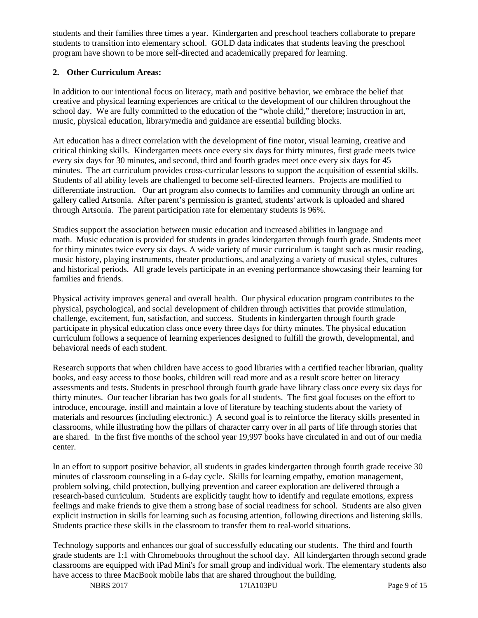students and their families three times a year. Kindergarten and preschool teachers collaborate to prepare students to transition into elementary school. GOLD data indicates that students leaving the preschool program have shown to be more self-directed and academically prepared for learning.

## **2. Other Curriculum Areas:**

In addition to our intentional focus on literacy, math and positive behavior, we embrace the belief that creative and physical learning experiences are critical to the development of our children throughout the school day. We are fully committed to the education of the "whole child," therefore; instruction in art, music, physical education, library/media and guidance are essential building blocks.

Art education has a direct correlation with the development of fine motor, visual learning, creative and critical thinking skills. Kindergarten meets once every six days for thirty minutes, first grade meets twice every six days for 30 minutes, and second, third and fourth grades meet once every six days for 45 minutes. The art curriculum provides cross-curricular lessons to support the acquisition of essential skills. Students of all ability levels are challenged to become self-directed learners. Projects are modified to differentiate instruction. Our art program also connects to families and community through an online art gallery called Artsonia. After parent's permission is granted, students' artwork is uploaded and shared through Artsonia. The parent participation rate for elementary students is 96%.

Studies support the association between music education and increased abilities in language and math. Music education is provided for students in grades kindergarten through fourth grade. Students meet for thirty minutes twice every six days. A wide variety of music curriculum is taught such as music reading, music history, playing instruments, theater productions, and analyzing a variety of musical styles, cultures and historical periods. All grade levels participate in an evening performance showcasing their learning for families and friends.

Physical activity improves general and overall health. Our physical education program contributes to the physical, psychological, and social development of children through activities that provide stimulation, challenge, excitement, fun, satisfaction, and success. Students in kindergarten through fourth grade participate in physical education class once every three days for thirty minutes. The physical education curriculum follows a sequence of learning experiences designed to fulfill the growth, developmental, and behavioral needs of each student.

Research supports that when children have access to good libraries with a certified teacher librarian, quality books, and easy access to those books, children will read more and as a result score better on literacy assessments and tests. Students in preschool through fourth grade have library class once every six days for thirty minutes. Our teacher librarian has two goals for all students. The first goal focuses on the effort to introduce, encourage, instill and maintain a love of literature by teaching students about the variety of materials and resources (including electronic.) A second goal is to reinforce the literacy skills presented in classrooms, while illustrating how the pillars of character carry over in all parts of life through stories that are shared. In the first five months of the school year 19,997 books have circulated in and out of our media center.

In an effort to support positive behavior, all students in grades kindergarten through fourth grade receive 30 minutes of classroom counseling in a 6-day cycle. Skills for learning empathy, emotion management, problem solving, child protection, bullying prevention and career exploration are delivered through a research-based curriculum. Students are explicitly taught how to identify and regulate emotions, express feelings and make friends to give them a strong base of social readiness for school. Students are also given explicit instruction in skills for learning such as focusing attention, following directions and listening skills. Students practice these skills in the classroom to transfer them to real-world situations.

Technology supports and enhances our goal of successfully educating our students. The third and fourth grade students are 1:1 with Chromebooks throughout the school day. All kindergarten through second grade classrooms are equipped with iPad Mini's for small group and individual work. The elementary students also have access to three MacBook mobile labs that are shared throughout the building.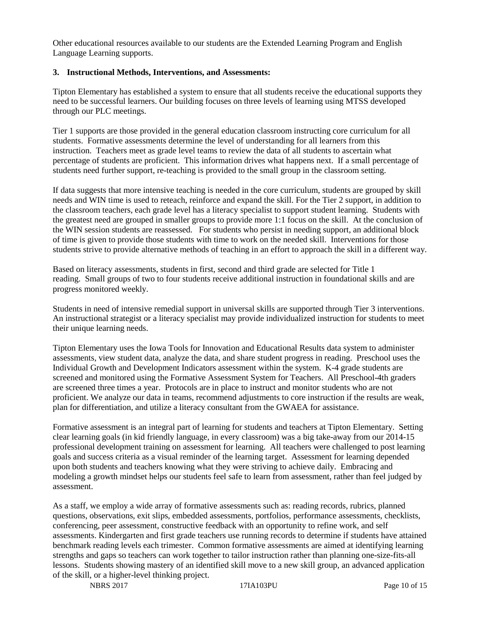Other educational resources available to our students are the Extended Learning Program and English Language Learning supports.

#### **3. Instructional Methods, Interventions, and Assessments:**

Tipton Elementary has established a system to ensure that all students receive the educational supports they need to be successful learners. Our building focuses on three levels of learning using MTSS developed through our PLC meetings.

Tier 1 supports are those provided in the general education classroom instructing core curriculum for all students. Formative assessments determine the level of understanding for all learners from this instruction. Teachers meet as grade level teams to review the data of all students to ascertain what percentage of students are proficient. This information drives what happens next. If a small percentage of students need further support, re-teaching is provided to the small group in the classroom setting.

If data suggests that more intensive teaching is needed in the core curriculum, students are grouped by skill needs and WIN time is used to reteach, reinforce and expand the skill. For the Tier 2 support, in addition to the classroom teachers, each grade level has a literacy specialist to support student learning. Students with the greatest need are grouped in smaller groups to provide more 1:1 focus on the skill. At the conclusion of the WIN session students are reassessed. For students who persist in needing support, an additional block of time is given to provide those students with time to work on the needed skill. Interventions for those students strive to provide alternative methods of teaching in an effort to approach the skill in a different way.

Based on literacy assessments, students in first, second and third grade are selected for Title 1 reading. Small groups of two to four students receive additional instruction in foundational skills and are progress monitored weekly.

Students in need of intensive remedial support in universal skills are supported through Tier 3 interventions. An instructional strategist or a literacy specialist may provide individualized instruction for students to meet their unique learning needs.

Tipton Elementary uses the Iowa Tools for Innovation and Educational Results data system to administer assessments, view student data, analyze the data, and share student progress in reading. Preschool uses the Individual Growth and Development Indicators assessment within the system. K-4 grade students are screened and monitored using the Formative Assessment System for Teachers. All Preschool-4th graders are screened three times a year. Protocols are in place to instruct and monitor students who are not proficient. We analyze our data in teams, recommend adjustments to core instruction if the results are weak, plan for differentiation, and utilize a literacy consultant from the GWAEA for assistance.

Formative assessment is an integral part of learning for students and teachers at Tipton Elementary. Setting clear learning goals (in kid friendly language, in every classroom) was a big take-away from our 2014-15 professional development training on assessment for learning. All teachers were challenged to post learning goals and success criteria as a visual reminder of the learning target. Assessment for learning depended upon both students and teachers knowing what they were striving to achieve daily. Embracing and modeling a growth mindset helps our students feel safe to learn from assessment, rather than feel judged by assessment.

As a staff, we employ a wide array of formative assessments such as: reading records, rubrics, planned questions, observations, exit slips, embedded assessments, portfolios, performance assessments, checklists, conferencing, peer assessment, constructive feedback with an opportunity to refine work, and self assessments. Kindergarten and first grade teachers use running records to determine if students have attained benchmark reading levels each trimester. Common formative assessments are aimed at identifying learning strengths and gaps so teachers can work together to tailor instruction rather than planning one-size-fits-all lessons. Students showing mastery of an identified skill move to a new skill group, an advanced application of the skill, or a higher-level thinking project.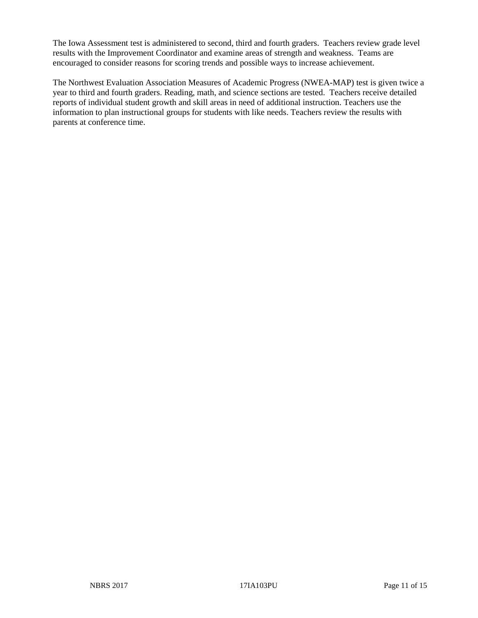The Iowa Assessment test is administered to second, third and fourth graders. Teachers review grade level results with the Improvement Coordinator and examine areas of strength and weakness. Teams are encouraged to consider reasons for scoring trends and possible ways to increase achievement.

The Northwest Evaluation Association Measures of Academic Progress (NWEA-MAP) test is given twice a year to third and fourth graders. Reading, math, and science sections are tested. Teachers receive detailed reports of individual student growth and skill areas in need of additional instruction. Teachers use the information to plan instructional groups for students with like needs. Teachers review the results with parents at conference time.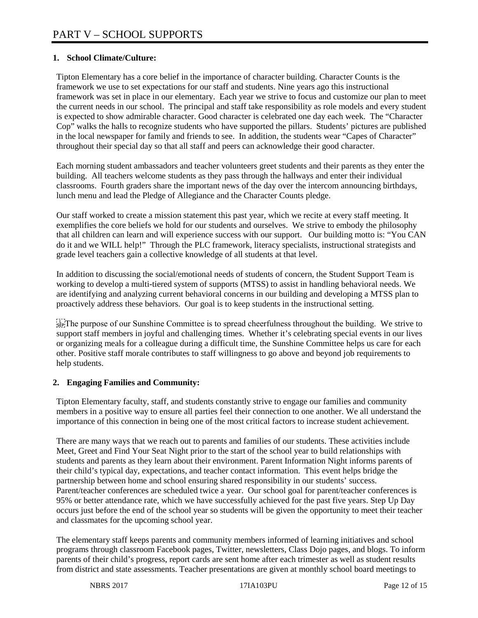# **1. School Climate/Culture:**

Tipton Elementary has a core belief in the importance of character building. Character Counts is the framework we use to set expectations for our staff and students. Nine years ago this instructional framework was set in place in our elementary. Each year we strive to focus and customize our plan to meet the current needs in our school. The principal and staff take responsibility as role models and every student is expected to show admirable character. Good character is celebrated one day each week. The "Character Cop" walks the halls to recognize students who have supported the pillars. Students' pictures are published in the local newspaper for family and friends to see. In addition, the students wear "Capes of Character" throughout their special day so that all staff and peers can acknowledge their good character.

Each morning student ambassadors and teacher volunteers greet students and their parents as they enter the building. All teachers welcome students as they pass through the hallways and enter their individual classrooms. Fourth graders share the important news of the day over the intercom announcing birthdays, lunch menu and lead the Pledge of Allegiance and the Character Counts pledge.

Our staff worked to create a mission statement this past year, which we recite at every staff meeting. It exemplifies the core beliefs we hold for our students and ourselves. We strive to embody the philosophy that all children can learn and will experience success with our support. Our building motto is: "You CAN do it and we WILL help!" Through the PLC framework, literacy specialists, instructional strategists and grade level teachers gain a collective knowledge of all students at that level.

In addition to discussing the social/emotional needs of students of concern, the Student Support Team is working to develop a multi-tiered system of supports (MTSS) to assist in handling behavioral needs. We are identifying and analyzing current behavioral concerns in our building and developing a MTSS plan to proactively address these behaviors. Our goal is to keep students in the instructional setting.

 $\frac{1}{2}$ <sub>EP</sub>: The purpose of our Sunshine Committee is to spread cheerfulness throughout the building. We strive to support staff members in joyful and challenging times. Whether it's celebrating special events in our lives or organizing meals for a colleague during a difficult time, the Sunshine Committee helps us care for each other. Positive staff morale contributes to staff willingness to go above and beyond job requirements to help students.

## **2. Engaging Families and Community:**

Tipton Elementary faculty, staff, and students constantly strive to engage our families and community members in a positive way to ensure all parties feel their connection to one another. We all understand the importance of this connection in being one of the most critical factors to increase student achievement.

There are many ways that we reach out to parents and families of our students. These activities include Meet, Greet and Find Your Seat Night prior to the start of the school year to build relationships with students and parents as they learn about their environment. Parent Information Night informs parents of their child's typical day, expectations, and teacher contact information. This event helps bridge the partnership between home and school ensuring shared responsibility in our students' success. Parent/teacher conferences are scheduled twice a year. Our school goal for parent/teacher conferences is 95% or better attendance rate, which we have successfully achieved for the past five years. Step Up Day occurs just before the end of the school year so students will be given the opportunity to meet their teacher and classmates for the upcoming school year.

The elementary staff keeps parents and community members informed of learning initiatives and school programs through classroom Facebook pages, Twitter, newsletters, Class Dojo pages, and blogs. To inform parents of their child's progress, report cards are sent home after each trimester as well as student results from district and state assessments. Teacher presentations are given at monthly school board meetings to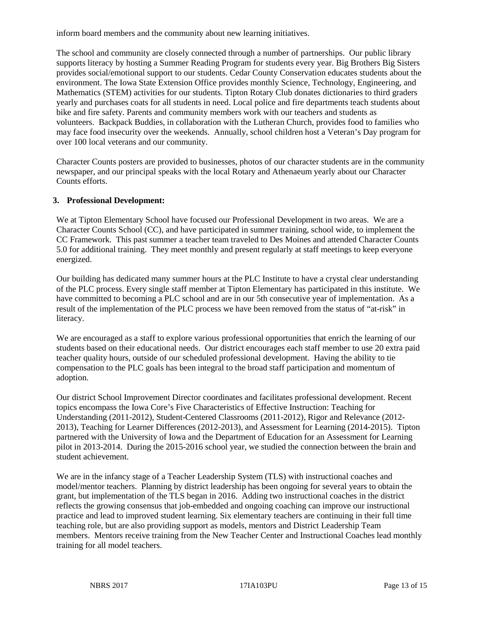inform board members and the community about new learning initiatives.

The school and community are closely connected through a number of partnerships. Our public library supports literacy by hosting a Summer Reading Program for students every year. Big Brothers Big Sisters provides social/emotional support to our students. Cedar County Conservation educates students about the environment. The Iowa State Extension Office provides monthly Science, Technology, Engineering, and Mathematics (STEM) activities for our students. Tipton Rotary Club donates dictionaries to third graders yearly and purchases coats for all students in need. Local police and fire departments teach students about bike and fire safety. Parents and community members work with our teachers and students as volunteers. Backpack Buddies, in collaboration with the Lutheran Church, provides food to families who may face food insecurity over the weekends. Annually, school children host a Veteran's Day program for over 100 local veterans and our community.

Character Counts posters are provided to businesses, photos of our character students are in the community newspaper, and our principal speaks with the local Rotary and Athenaeum yearly about our Character Counts efforts.

#### **3. Professional Development:**

We at Tipton Elementary School have focused our Professional Development in two areas. We are a Character Counts School (CC), and have participated in summer training, school wide, to implement the CC Framework. This past summer a teacher team traveled to Des Moines and attended Character Counts 5.0 for additional training. They meet monthly and present regularly at staff meetings to keep everyone energized.

Our building has dedicated many summer hours at the PLC Institute to have a crystal clear understanding of the PLC process. Every single staff member at Tipton Elementary has participated in this institute. We have committed to becoming a PLC school and are in our 5th consecutive year of implementation. As a result of the implementation of the PLC process we have been removed from the status of "at-risk" in literacy.

We are encouraged as a staff to explore various professional opportunities that enrich the learning of our students based on their educational needs. Our district encourages each staff member to use 20 extra paid teacher quality hours, outside of our scheduled professional development. Having the ability to tie compensation to the PLC goals has been integral to the broad staff participation and momentum of adoption.

Our district School Improvement Director coordinates and facilitates professional development. Recent topics encompass the Iowa Core's Five Characteristics of Effective Instruction: Teaching for Understanding (2011-2012), Student-Centered Classrooms (2011-2012), Rigor and Relevance (2012- 2013), Teaching for Learner Differences (2012-2013), and Assessment for Learning (2014-2015). Tipton partnered with the University of Iowa and the Department of Education for an Assessment for Learning pilot in 2013-2014. During the 2015-2016 school year, we studied the connection between the brain and student achievement.

We are in the infancy stage of a Teacher Leadership System (TLS) with instructional coaches and model/mentor teachers. Planning by district leadership has been ongoing for several years to obtain the grant, but implementation of the TLS began in 2016. Adding two instructional coaches in the district reflects the growing consensus that job-embedded and ongoing coaching can improve our instructional practice and lead to improved student learning. Six elementary teachers are continuing in their full time teaching role, but are also providing support as models, mentors and District Leadership Team members. Mentors receive training from the New Teacher Center and Instructional Coaches lead monthly training for all model teachers.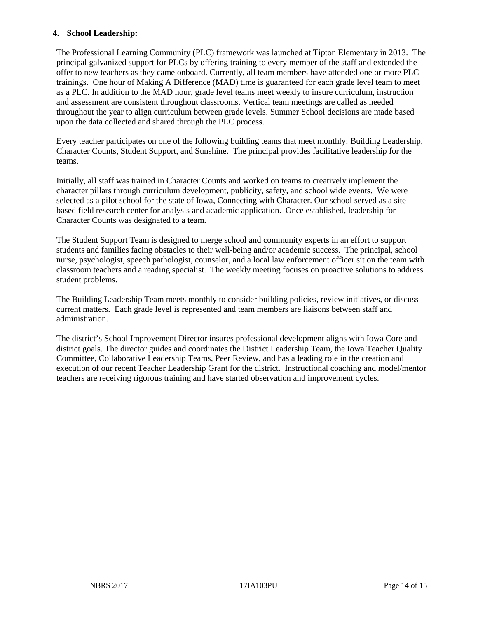#### **4. School Leadership:**

The Professional Learning Community (PLC) framework was launched at Tipton Elementary in 2013. The principal galvanized support for PLCs by offering training to every member of the staff and extended the offer to new teachers as they came onboard. Currently, all team members have attended one or more PLC trainings. One hour of Making A Difference (MAD) time is guaranteed for each grade level team to meet as a PLC. In addition to the MAD hour, grade level teams meet weekly to insure curriculum, instruction and assessment are consistent throughout classrooms. Vertical team meetings are called as needed throughout the year to align curriculum between grade levels. Summer School decisions are made based upon the data collected and shared through the PLC process.

Every teacher participates on one of the following building teams that meet monthly: Building Leadership, Character Counts, Student Support, and Sunshine. The principal provides facilitative leadership for the teams.

Initially, all staff was trained in Character Counts and worked on teams to creatively implement the character pillars through curriculum development, publicity, safety, and school wide events. We were selected as a pilot school for the state of Iowa, Connecting with Character. Our school served as a site based field research center for analysis and academic application. Once established, leadership for Character Counts was designated to a team.

The Student Support Team is designed to merge school and community experts in an effort to support students and families facing obstacles to their well-being and/or academic success. The principal, school nurse, psychologist, speech pathologist, counselor, and a local law enforcement officer sit on the team with classroom teachers and a reading specialist. The weekly meeting focuses on proactive solutions to address student problems.

The Building Leadership Team meets monthly to consider building policies, review initiatives, or discuss current matters. Each grade level is represented and team members are liaisons between staff and administration.

The district's School Improvement Director insures professional development aligns with Iowa Core and district goals. The director guides and coordinates the District Leadership Team, the Iowa Teacher Quality Committee, Collaborative Leadership Teams, Peer Review, and has a leading role in the creation and execution of our recent Teacher Leadership Grant for the district. Instructional coaching and model/mentor teachers are receiving rigorous training and have started observation and improvement cycles.